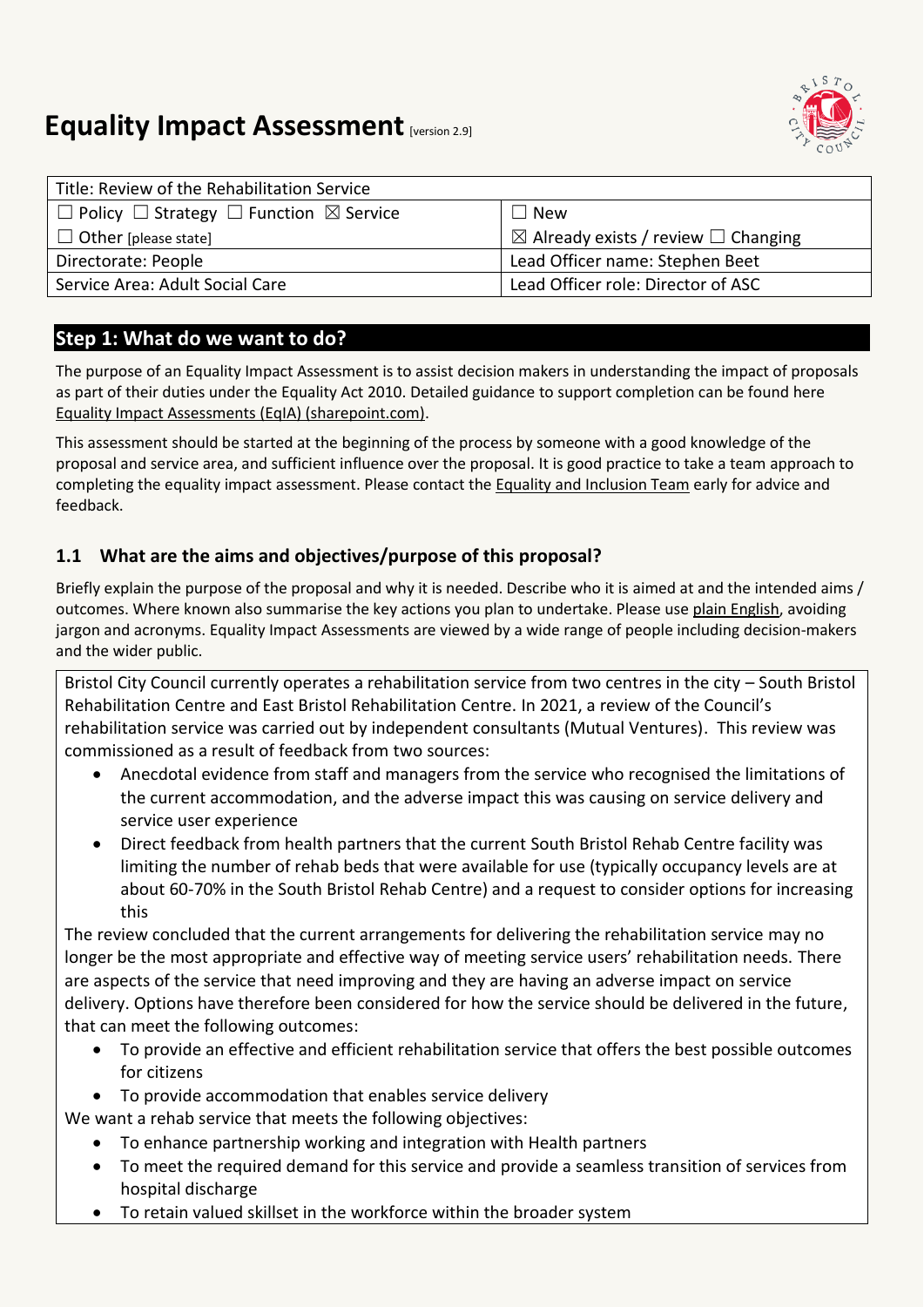# **Equality Impact Assessment [version 2.9]**

| Title: Review of the Rehabilitation Service                       |                                                     |  |
|-------------------------------------------------------------------|-----------------------------------------------------|--|
| $\Box$ Policy $\Box$ Strategy $\Box$ Function $\boxtimes$ Service | $\Box$ New                                          |  |
| $\Box$ Other [please state]                                       | $\boxtimes$ Already exists / review $\Box$ Changing |  |
| Directorate: People                                               | Lead Officer name: Stephen Beet                     |  |
| Service Area: Adult Social Care                                   | Lead Officer role: Director of ASC                  |  |

## **Step 1: What do we want to do?**

The purpose of an Equality Impact Assessment is to assist decision makers in understanding the impact of proposals as part of their duties under the Equality Act 2010. Detailed guidance to support completion can be found here [Equality Impact Assessments \(EqIA\) \(sharepoint.com\).](https://bristolcouncil.sharepoint.com/sites/Corporate/SitePages/equality-impact-assessments.aspx) 

This assessment should be started at the beginning of the process by someone with a good knowledge of the proposal and service area, and sufficient influence over the proposal. It is good practice to take a team approach to completing the equality impact assessment. Please contact the [Equality and Inclusion Team](mailto:equalities.team@bristol.gov.uk) early for advice and feedback.

## **1.1 What are the aims and objectives/purpose of this proposal?**

Briefly explain the purpose of the proposal and why it is needed. Describe who it is aimed at and the intended aims / outcomes. Where known also summarise the key actions you plan to undertake. Please us[e plain English,](http://www.plainenglish.co.uk/) avoiding jargon and acronyms. Equality Impact Assessments are viewed by a wide range of people including decision-makers and the wider public.

Bristol City Council currently operates a rehabilitation service from two centres in the city – South Bristol Rehabilitation Centre and East Bristol Rehabilitation Centre. In 2021, a review of the Council's rehabilitation service was carried out by independent consultants (Mutual Ventures). This review was commissioned as a result of feedback from two sources:

- Anecdotal evidence from staff and managers from the service who recognised the limitations of the current accommodation, and the adverse impact this was causing on service delivery and service user experience
- Direct feedback from health partners that the current South Bristol Rehab Centre facility was limiting the number of rehab beds that were available for use (typically occupancy levels are at about 60-70% in the South Bristol Rehab Centre) and a request to consider options for increasing this

The review concluded that the current arrangements for delivering the rehabilitation service may no longer be the most appropriate and effective way of meeting service users' rehabilitation needs. There are aspects of the service that need improving and they are having an adverse impact on service delivery. Options have therefore been considered for how the service should be delivered in the future, that can meet the following outcomes:

- To provide an effective and efficient rehabilitation service that offers the best possible outcomes for citizens
- To provide accommodation that enables service delivery

We want a rehab service that meets the following objectives:

- To enhance partnership working and integration with Health partners
- To meet the required demand for this service and provide a seamless transition of services from hospital discharge
- To retain valued skillset in the workforce within the broader system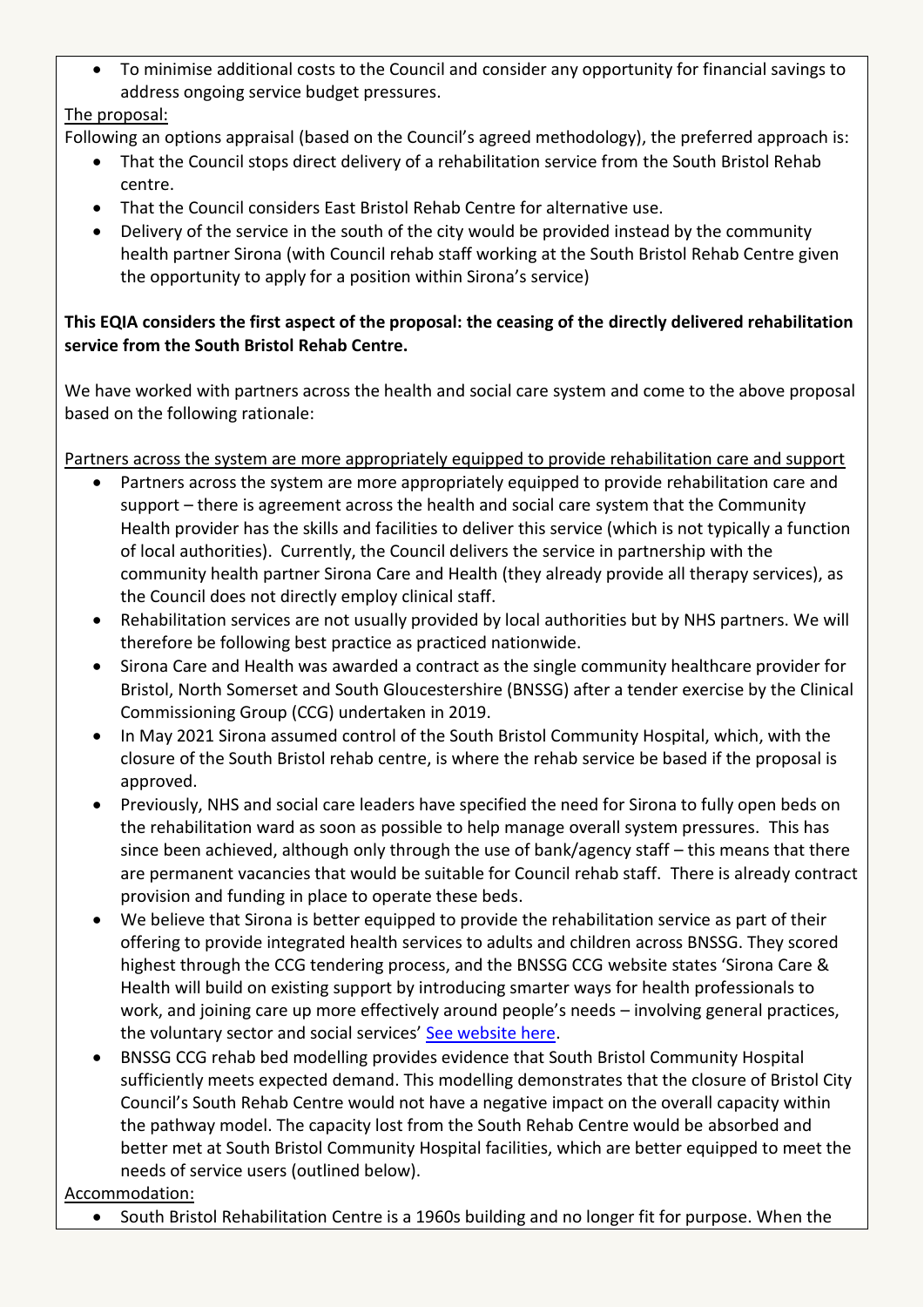To minimise additional costs to the Council and consider any opportunity for financial savings to address ongoing service budget pressures.

## The proposal:

Following an options appraisal (based on the Council's agreed methodology), the preferred approach is:

- That the Council stops direct delivery of a rehabilitation service from the South Bristol Rehab centre.
- That the Council considers East Bristol Rehab Centre for alternative use.
- Delivery of the service in the south of the city would be provided instead by the community health partner Sirona (with Council rehab staff working at the South Bristol Rehab Centre given the opportunity to apply for a position within Sirona's service)

## **This EQIA considers the first aspect of the proposal: the ceasing of the directly delivered rehabilitation service from the South Bristol Rehab Centre.**

We have worked with partners across the health and social care system and come to the above proposal based on the following rationale:

Partners across the system are more appropriately equipped to provide rehabilitation care and support

- Partners across the system are more appropriately equipped to provide rehabilitation care and support – there is agreement across the health and social care system that the Community Health provider has the skills and facilities to deliver this service (which is not typically a function of local authorities). Currently, the Council delivers the service in partnership with the community health partner Sirona Care and Health (they already provide all therapy services), as the Council does not directly employ clinical staff.
- Rehabilitation services are not usually provided by local authorities but by NHS partners. We will therefore be following best practice as practiced nationwide.
- Sirona Care and Health was awarded a contract as the single community healthcare provider for Bristol, North Somerset and South Gloucestershire (BNSSG) after a tender exercise by the Clinical Commissioning Group (CCG) undertaken in 2019.
- In May 2021 Sirona assumed control of the South Bristol Community Hospital, which, with the closure of the South Bristol rehab centre, is where the rehab service be based if the proposal is approved.
- Previously, NHS and social care leaders have specified the need for Sirona to fully open beds on the rehabilitation ward as soon as possible to help manage overall system pressures. This has since been achieved, although only through the use of bank/agency staff – this means that there are permanent vacancies that would be suitable for Council rehab staff. There is already contract provision and funding in place to operate these beds.
- We believe that Sirona is better equipped to provide the rehabilitation service as part of their offering to provide integrated health services to adults and children across BNSSG. They scored highest through the CCG tendering process, and the BNSSG CCG website states 'Sirona Care & Health will build on existing support by introducing smarter ways for health professionals to work, and joining care up more effectively around people's needs – involving general practices, the voluntary sector and social services' [See website here.](https://bnssgccg.nhs.uk/health-advice-and-support/adult-community-services/adult-community-health-services-selecting-provider/)
- BNSSG CCG rehab bed modelling provides evidence that South Bristol Community Hospital sufficiently meets expected demand. This modelling demonstrates that the closure of Bristol City Council's South Rehab Centre would not have a negative impact on the overall capacity within the pathway model. The capacity lost from the South Rehab Centre would be absorbed and better met at South Bristol Community Hospital facilities, which are better equipped to meet the needs of service users (outlined below).

## Accommodation:

South Bristol Rehabilitation Centre is a 1960s building and no longer fit for purpose. When the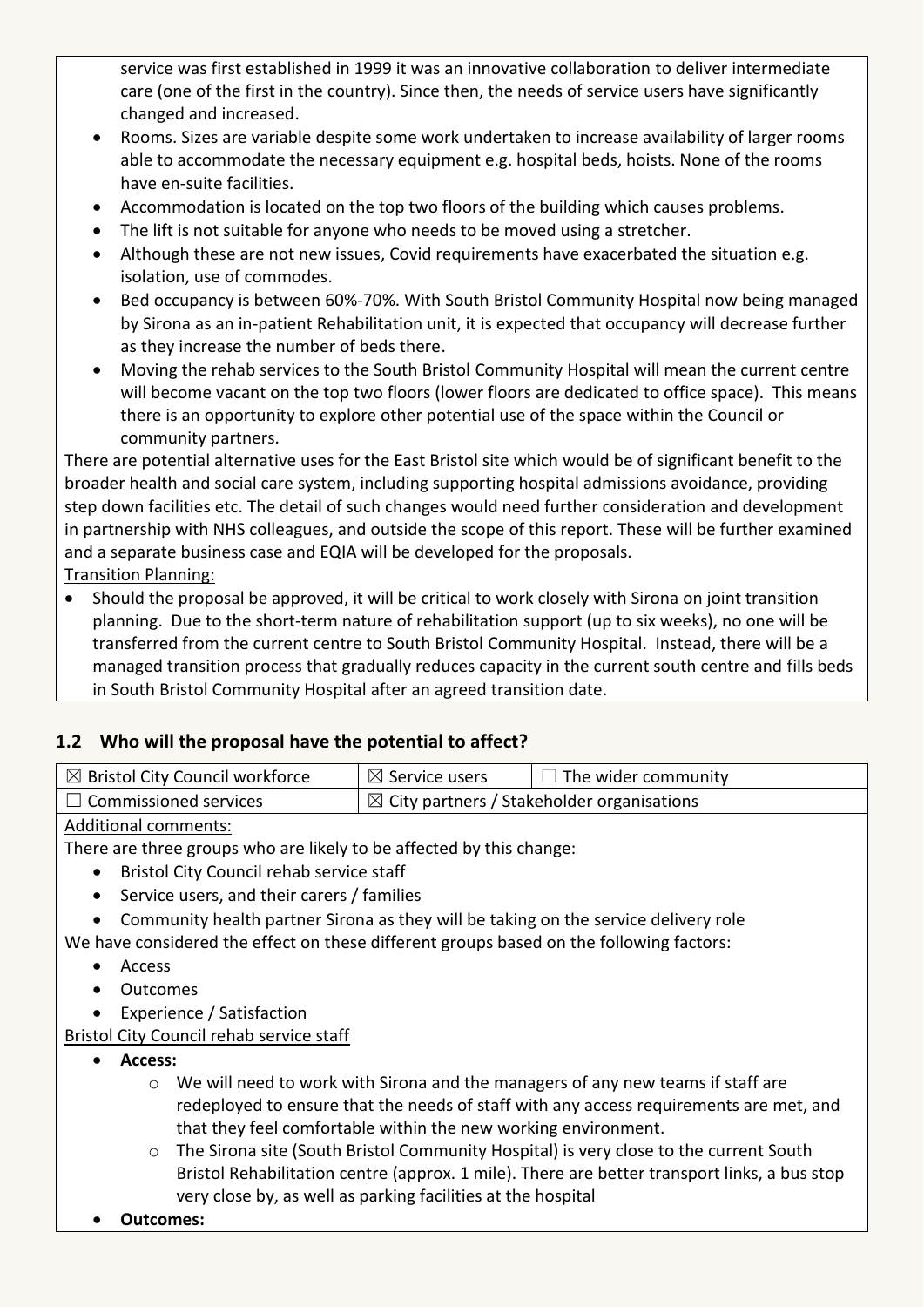service was first established in 1999 it was an innovative collaboration to deliver intermediate care (one of the first in the country). Since then, the needs of service users have significantly changed and increased.

- Rooms. Sizes are variable despite some work undertaken to increase availability of larger rooms able to accommodate the necessary equipment e.g. hospital beds, hoists. None of the rooms have en-suite facilities.
- Accommodation is located on the top two floors of the building which causes problems.
- The lift is not suitable for anyone who needs to be moved using a stretcher.
- Although these are not new issues, Covid requirements have exacerbated the situation e.g. isolation, use of commodes.
- Bed occupancy is between 60%-70%. With South Bristol Community Hospital now being managed by Sirona as an in-patient Rehabilitation unit, it is expected that occupancy will decrease further as they increase the number of beds there.
- Moving the rehab services to the South Bristol Community Hospital will mean the current centre will become vacant on the top two floors (lower floors are dedicated to office space). This means there is an opportunity to explore other potential use of the space within the Council or community partners.

There are potential alternative uses for the East Bristol site which would be of significant benefit to the broader health and social care system, including supporting hospital admissions avoidance, providing step down facilities etc. The detail of such changes would need further consideration and development in partnership with NHS colleagues, and outside the scope of this report. These will be further examined and a separate business case and EQIA will be developed for the proposals.

Transition Planning:

 Should the proposal be approved, it will be critical to work closely with Sirona on joint transition planning. Due to the short-term nature of rehabilitation support (up to six weeks), no one will be transferred from the current centre to South Bristol Community Hospital. Instead, there will be a managed transition process that gradually reduces capacity in the current south centre and fills beds in South Bristol Community Hospital after an agreed transition date.

## **1.2 Who will the proposal have the potential to affect?**

| $\boxtimes$ Bristol City Council workforce | $\boxtimes$ Service users                             | $\Box$ The wider community |
|--------------------------------------------|-------------------------------------------------------|----------------------------|
| $\Box$ Commissioned services               | $\boxtimes$ City partners / Stakeholder organisations |                            |

## Additional comments:

There are three groups who are likely to be affected by this change:

- Bristol City Council rehab service staff
- Service users, and their carers / families
- Community health partner Sirona as they will be taking on the service delivery role

We have considered the effect on these different groups based on the following factors:

- Access
- Outcomes
- Experience / Satisfaction

## Bristol City Council rehab service staff

- **Access:** 
	- o We will need to work with Sirona and the managers of any new teams if staff are redeployed to ensure that the needs of staff with any access requirements are met, and that they feel comfortable within the new working environment.
	- o The Sirona site (South Bristol Community Hospital) is very close to the current South Bristol Rehabilitation centre (approx. 1 mile). There are better transport links, a bus stop very close by, as well as parking facilities at the hospital
- **Outcomes:**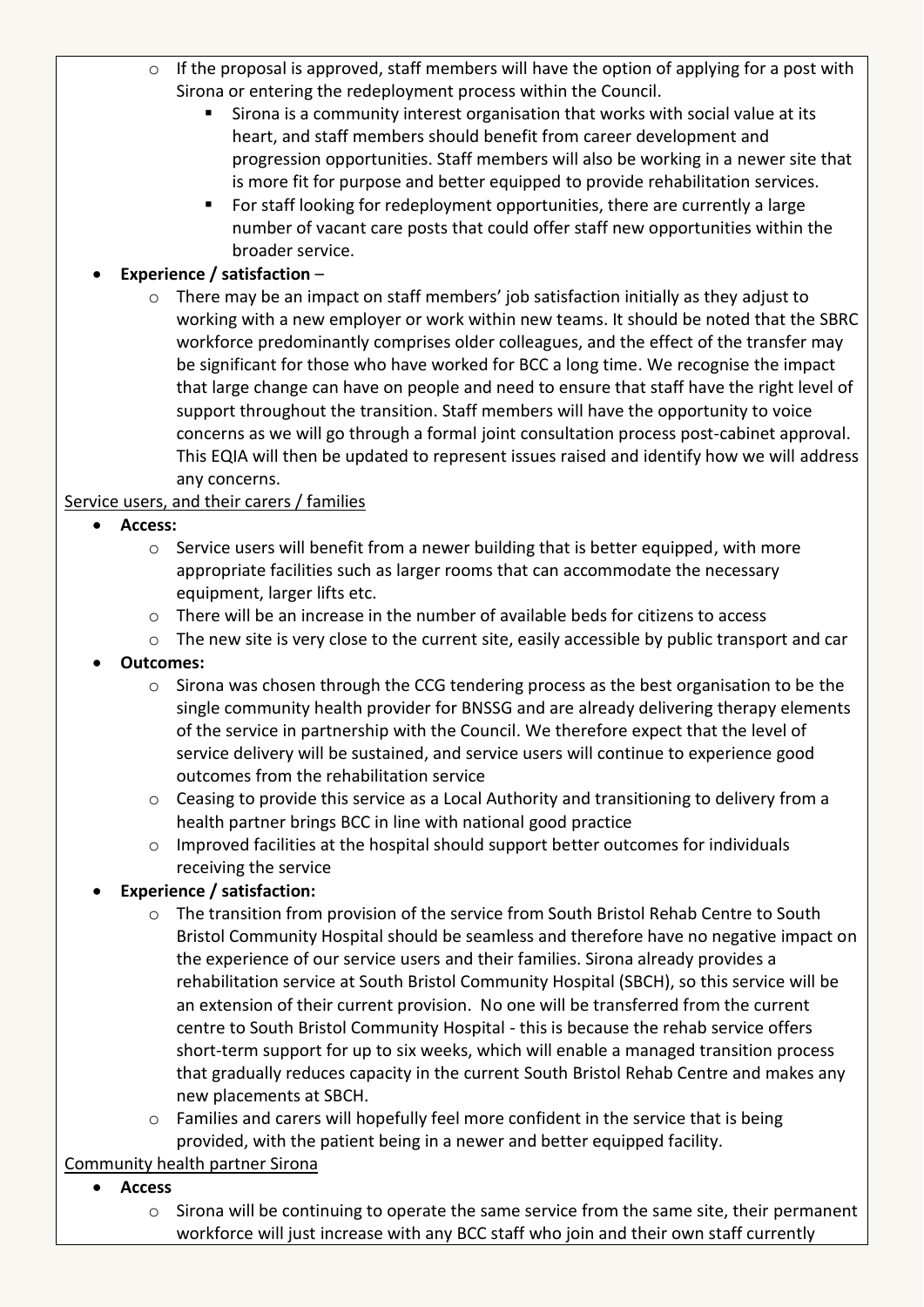- o If the proposal is approved, staff members will have the option of applying for a post with Sirona or entering the redeployment process within the Council.
	- Sirona is a community interest organisation that works with social value at its heart, and staff members should benefit from career development and progression opportunities. Staff members will also be working in a newer site that is more fit for purpose and better equipped to provide rehabilitation services.
	- For staff looking for redeployment opportunities, there are currently a large number of vacant care posts that could offer staff new opportunities within the broader service.

## **Experience / satisfaction** –

o There may be an impact on staff members' job satisfaction initially as they adjust to working with a new employer or work within new teams. It should be noted that the SBRC workforce predominantly comprises older colleagues, and the effect of the transfer may be significant for those who have worked for BCC a long time. We recognise the impact that large change can have on people and need to ensure that staff have the right level of support throughout the transition. Staff members will have the opportunity to voice concerns as we will go through a formal joint consultation process post-cabinet approval. This EQIA will then be updated to represent issues raised and identify how we will address any concerns.

## Service users, and their carers / families

- **Access:**
	- $\circ$  Service users will benefit from a newer building that is better equipped, with more appropriate facilities such as larger rooms that can accommodate the necessary equipment, larger lifts etc.
	- $\circ$  There will be an increase in the number of available beds for citizens to access
	- o The new site is very close to the current site, easily accessible by public transport and car

## **Outcomes:**

- o Sirona was chosen through the CCG tendering process as the best organisation to be the single community health provider for BNSSG and are already delivering therapy elements of the service in partnership with the Council. We therefore expect that the level of service delivery will be sustained, and service users will continue to experience good outcomes from the rehabilitation service
- o Ceasing to provide this service as a Local Authority and transitioning to delivery from a health partner brings BCC in line with national good practice
- $\circ$  Improved facilities at the hospital should support better outcomes for individuals receiving the service

## **Experience / satisfaction:**

- o The transition from provision of the service from South Bristol Rehab Centre to South Bristol Community Hospital should be seamless and therefore have no negative impact on the experience of our service users and their families. Sirona already provides a rehabilitation service at South Bristol Community Hospital (SBCH), so this service will be an extension of their current provision. No one will be transferred from the current centre to South Bristol Community Hospital - this is because the rehab service offers short-term support for up to six weeks, which will enable a managed transition process that gradually reduces capacity in the current South Bristol Rehab Centre and makes any new placements at SBCH.
- $\circ$  Families and carers will hopefully feel more confident in the service that is being provided, with the patient being in a newer and better equipped facility.

Community health partner Sirona

- **Access**
	- o Sirona will be continuing to operate the same service from the same site, their permanent workforce will just increase with any BCC staff who join and their own staff currently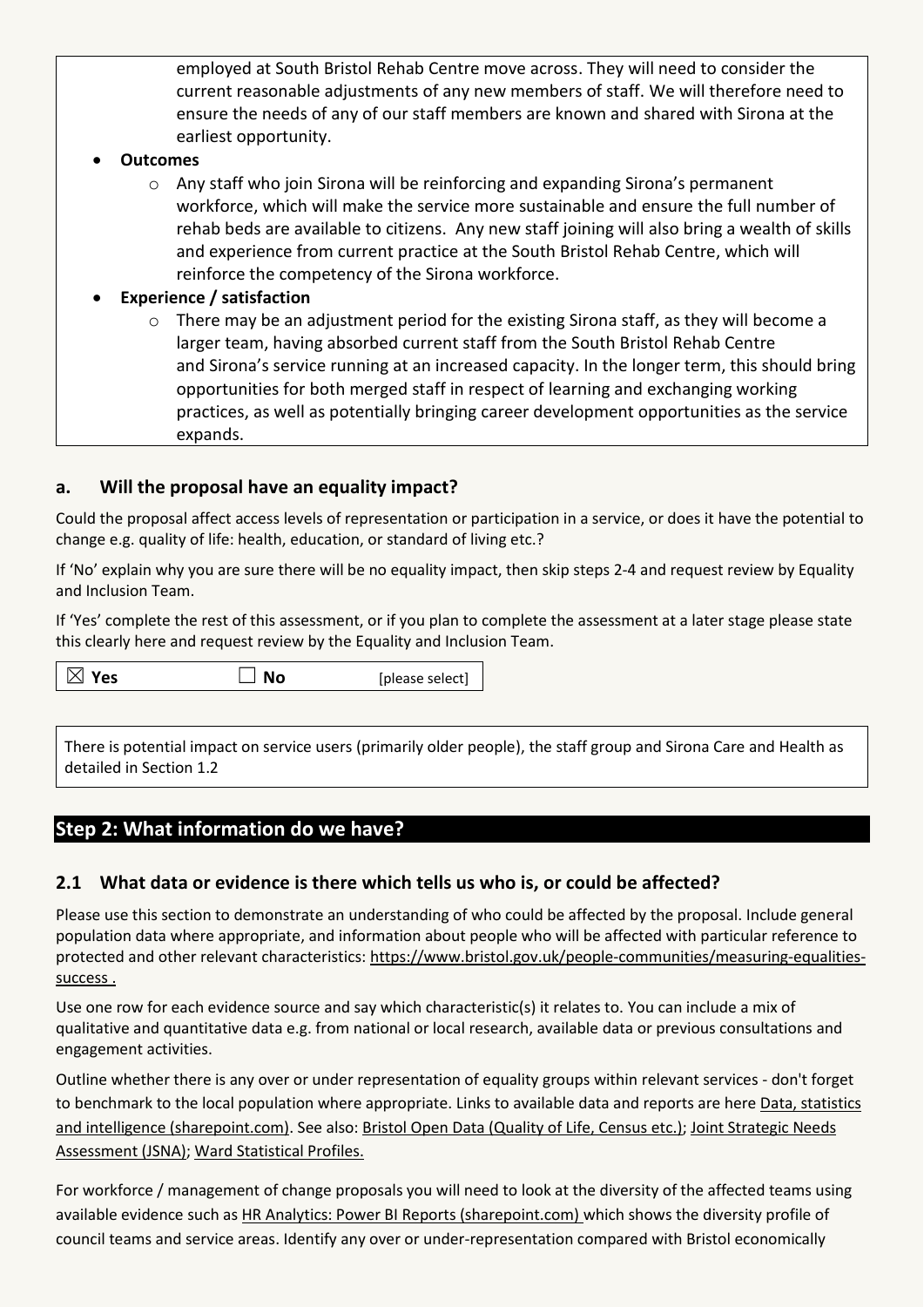employed at South Bristol Rehab Centre move across. They will need to consider the current reasonable adjustments of any new members of staff. We will therefore need to ensure the needs of any of our staff members are known and shared with Sirona at the earliest opportunity.

#### **Outcomes**

 $\circ$  Any staff who join Sirona will be reinforcing and expanding Sirona's permanent workforce, which will make the service more sustainable and ensure the full number of rehab beds are available to citizens. Any new staff joining will also bring a wealth of skills and experience from current practice at the South Bristol Rehab Centre, which will reinforce the competency of the Sirona workforce.

#### **Experience / satisfaction**

 $\circ$  There may be an adjustment period for the existing Sirona staff, as they will become a larger team, having absorbed current staff from the South Bristol Rehab Centre and Sirona's service running at an increased capacity. In the longer term, this should bring opportunities for both merged staff in respect of learning and exchanging working practices, as well as potentially bringing career development opportunities as the service expands.

## **a. Will the proposal have an equality impact?**

Could the proposal affect access levels of representation or participation in a service, or does it have the potential to change e.g. quality of life: health, education, or standard of living etc.?

If 'No' explain why you are sure there will be no equality impact, then skip steps 2-4 and request review by Equality and Inclusion Team.

If 'Yes' complete the rest of this assessment, or if you plan to complete the assessment at a later stage please state this clearly here and request review by the [Equality and Inclusion Team.](mailto:equalities.team@bristol.gov.uk)

 $\boxtimes$  **Yes**  $\Box$  **No** [please select]

There is potential impact on service users (primarily older people), the staff group and Sirona Care and Health as detailed in Section 1.2

## **Step 2: What information do we have?**

#### **2.1 What data or evidence is there which tells us who is, or could be affected?**

Please use this section to demonstrate an understanding of who could be affected by the proposal. Include general population data where appropriate, and information about people who will be affected with particular reference to protected and other relevant characteristics: [https://www.bristol.gov.uk/people-communities/measuring-equalities](https://www.bristol.gov.uk/people-communities/measuring-equalities-success)[success](https://www.bristol.gov.uk/people-communities/measuring-equalities-success) .

Use one row for each evidence source and say which characteristic(s) it relates to. You can include a mix of qualitative and quantitative data e.g. from national or local research, available data or previous consultations and engagement activities.

Outline whether there is any over or under representation of equality groups within relevant services - don't forget to benchmark to the local population where appropriate. Links to available data and reports are here [Data, statistics](https://bristolcouncil.sharepoint.com/sites/Corporate/SitePages/data-statistics-and-intelligence.aspx)  [and intelligence \(sharepoint.com\).](https://bristolcouncil.sharepoint.com/sites/Corporate/SitePages/data-statistics-and-intelligence.aspx) See also: [Bristol Open Data \(Quality of Life, Census etc.\);](https://bristol.opendatasoft.com/explore/?sort=modified&q=equalities) [Joint Strategic Needs](https://www.bristol.gov.uk/policies-plans-strategies/joint-strategic-needs-assessment) [Assessment](https://www.bristol.gov.uk/policies-plans-strategies/joint-strategic-needs-assessment) (JSNA); [Ward Statistical Profiles.](https://www.bristol.gov.uk/statistics-census-information/new-wards-data-profiles)

For workforce / management of change proposals you will need to look at the diversity of the affected teams using available evidence such as [HR Analytics: Power BI Reports \(sharepoint.com\)](https://eur03.safelinks.protection.outlook.com/?url=https%3A%2F%2Fbristolcouncil.sharepoint.com%2Fsites%2FHR%2FSitePages%2Fhr-reports.aspx&data=04%7C01%7C%7C90358974d66d41257ac108d8deebfdde%7C6378a7a50f214482aee0897eb7de331f%7C0%7C0%7C637504452456282778%7CUnknown%7CTWFpbGZsb3d8eyJWIjoiMC4wLjAwMDAiLCJQIjoiV2luMzIiLCJBTiI6Ik1haWwiLCJXVCI6Mn0%3D%7C1000&sdata=6kXYSnoOXQ1Yn%2Be9ZRGlZULZJYwfQ3jygxGLOPN%2BccU%3D&reserved=0) which shows the diversity profile of council teams and service areas. Identify any over or under-representation compared with Bristol economically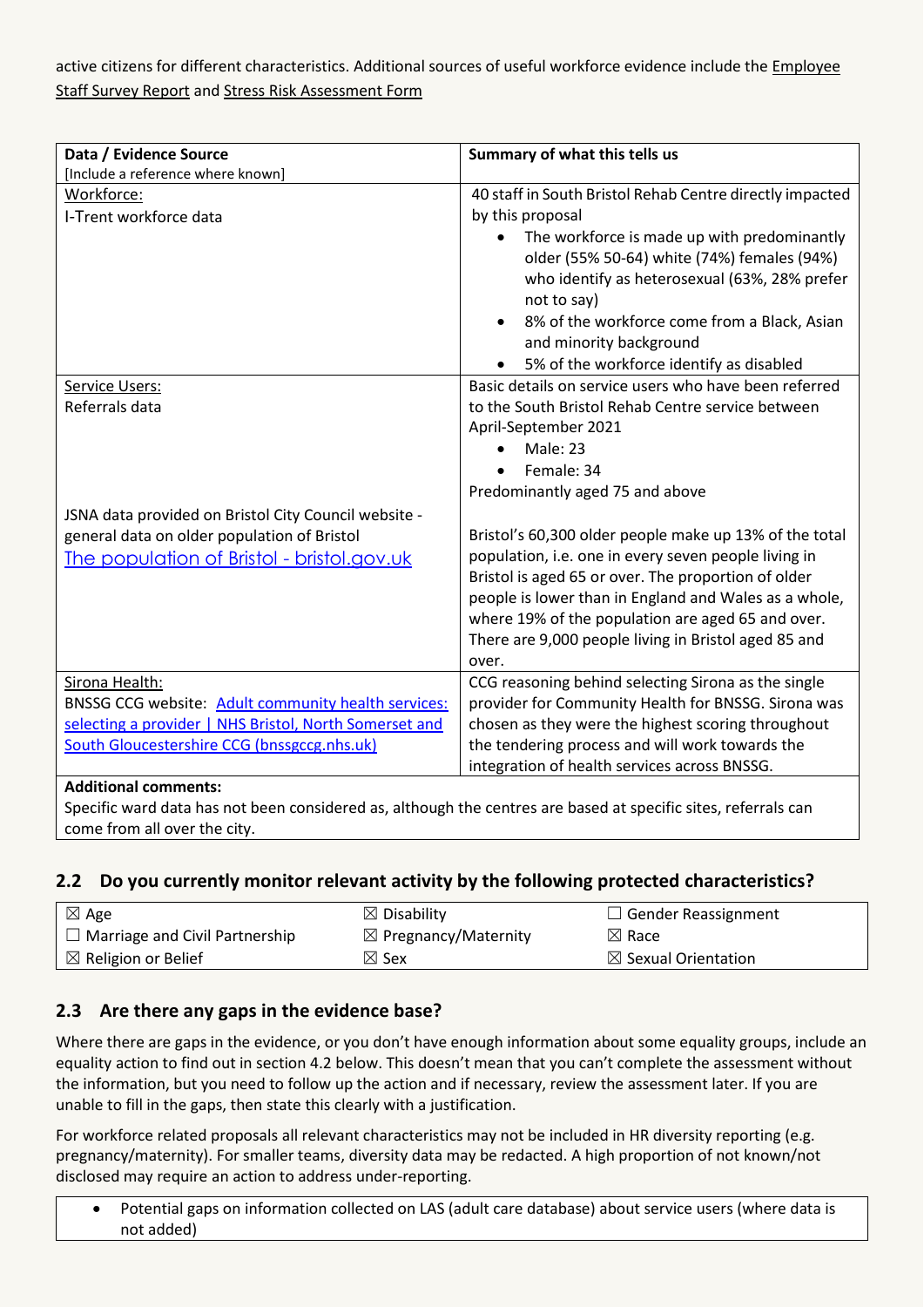active citizens for different characteristics. Additional sources of useful workforce evidence include the [Employee](https://bristolcouncil.sharepoint.com/sites/HR/SitePages/hr-reports.aspx)  [Staff Survey Report](https://bristolcouncil.sharepoint.com/sites/HR/SitePages/hr-reports.aspx) and [Stress Risk Assessment Form](https://bristolcouncil.sharepoint.com/:w:/r/sites/HealthSafetyandWellbeing/_layouts/15/Doc.aspx?sourcedoc=%7B813AE494-A25E-4C9C-A7F7-1F6A48883800%7D&file=Stress%20risk%20assessment%20form.doc&action=default&mobileredirect=true&DefaultItemOpen=1)

| Data / Evidence Source                                 | Summary of what this tells us                                                                                                                              |
|--------------------------------------------------------|------------------------------------------------------------------------------------------------------------------------------------------------------------|
| [Include a reference where known]                      |                                                                                                                                                            |
| Workforce:<br>I-Trent workforce data                   | 40 staff in South Bristol Rehab Centre directly impacted<br>by this proposal                                                                               |
|                                                        | The workforce is made up with predominantly<br>older (55% 50-64) white (74%) females (94%)<br>who identify as heterosexual (63%, 28% prefer<br>not to say) |
|                                                        | 8% of the workforce come from a Black, Asian<br>and minority background                                                                                    |
|                                                        | 5% of the workforce identify as disabled                                                                                                                   |
| Service Users:                                         | Basic details on service users who have been referred                                                                                                      |
| Referrals data                                         | to the South Bristol Rehab Centre service between                                                                                                          |
|                                                        | April-September 2021                                                                                                                                       |
|                                                        | <b>Male: 23</b>                                                                                                                                            |
|                                                        | Female: 34                                                                                                                                                 |
|                                                        | Predominantly aged 75 and above                                                                                                                            |
| JSNA data provided on Bristol City Council website -   |                                                                                                                                                            |
| general data on older population of Bristol            | Bristol's 60,300 older people make up 13% of the total                                                                                                     |
| The population of Bristol - bristol.gov.uk             | population, i.e. one in every seven people living in                                                                                                       |
|                                                        | Bristol is aged 65 or over. The proportion of older                                                                                                        |
|                                                        | people is lower than in England and Wales as a whole,                                                                                                      |
|                                                        | where 19% of the population are aged 65 and over.                                                                                                          |
|                                                        | There are 9,000 people living in Bristol aged 85 and                                                                                                       |
|                                                        | over.                                                                                                                                                      |
| Sirona Health:                                         | CCG reasoning behind selecting Sirona as the single                                                                                                        |
| BNSSG CCG website: Adult community health services:    | provider for Community Health for BNSSG. Sirona was                                                                                                        |
| selecting a provider   NHS Bristol, North Somerset and | chosen as they were the highest scoring throughout                                                                                                         |
| South Gloucestershire CCG (bnssgccg.nhs.uk)            | the tendering process and will work towards the                                                                                                            |
|                                                        | integration of health services across BNSSG.                                                                                                               |
| <b>Additional comments:</b>                            |                                                                                                                                                            |

Specific ward data has not been considered as, although the centres are based at specific sites, referrals can come from all over the city.

## **2.2 Do you currently monitor relevant activity by the following protected characteristics?**

| $\boxtimes$ Age                       | $\boxtimes$ Disability          | $\Box$ Gender Reassignment     |
|---------------------------------------|---------------------------------|--------------------------------|
| $\Box$ Marriage and Civil Partnership | $\boxtimes$ Pregnancy/Maternity | $\boxtimes$ Race               |
| $\boxtimes$ Religion or Belief        | $\boxtimes$ Sex                 | $\boxtimes$ Sexual Orientation |

## **2.3 Are there any gaps in the evidence base?**

Where there are gaps in the evidence, or you don't have enough information about some equality groups, include an equality action to find out in section 4.2 below. This doesn't mean that you can't complete the assessment without the information, but you need to follow up the action and if necessary, review the assessment later. If you are unable to fill in the gaps, then state this clearly with a justification.

For workforce related proposals all relevant characteristics may not be included in HR diversity reporting (e.g. pregnancy/maternity). For smaller teams, diversity data may be redacted. A high proportion of not known/not disclosed may require an action to address under-reporting.

 Potential gaps on information collected on LAS (adult care database) about service users (where data is not added)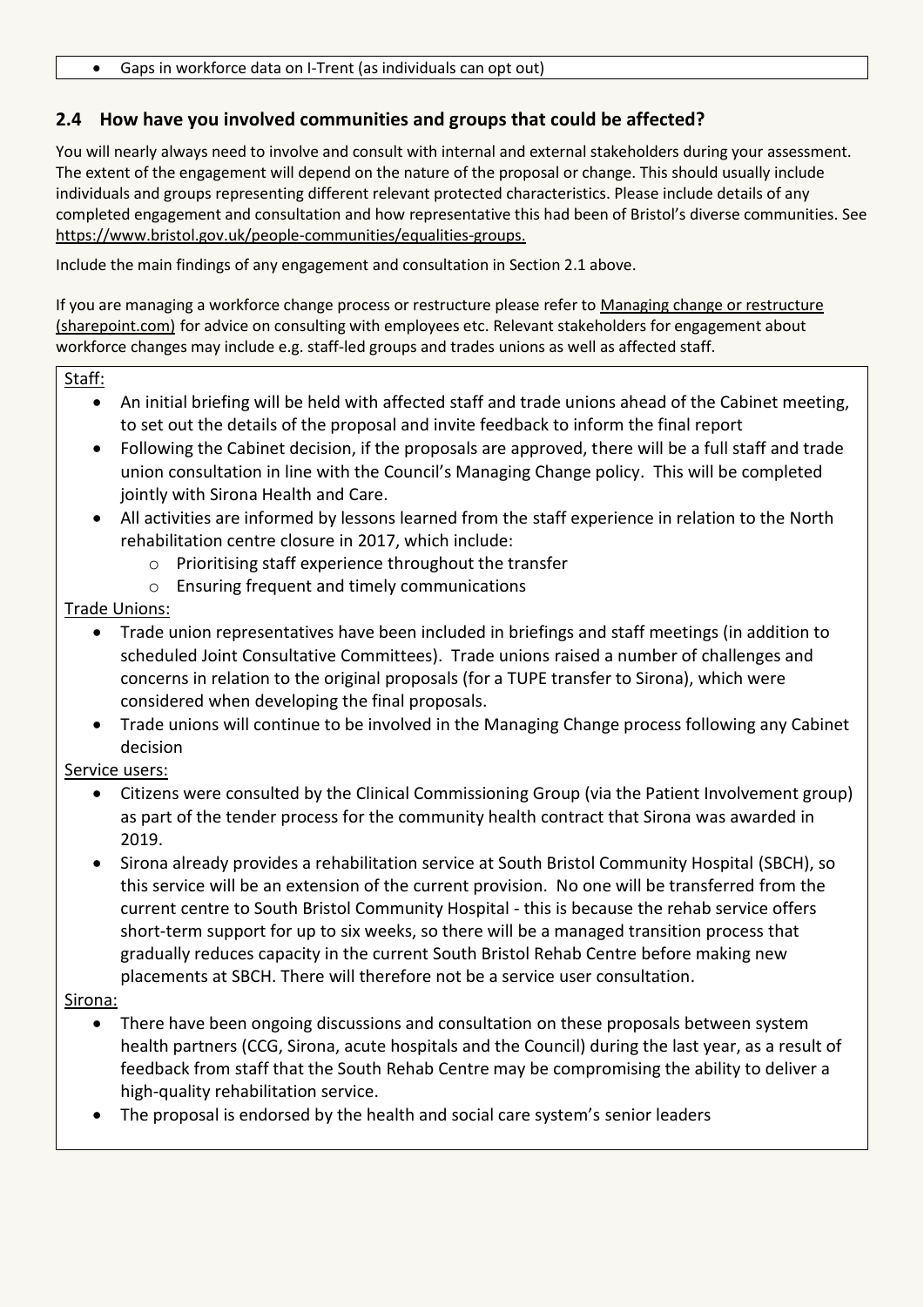## **2.4 How have you involved communities and groups that could be affected?**

You will nearly always need to involve and consult with internal and external stakeholders during your assessment. The extent of the engagement will depend on the nature of the proposal or change. This should usually include individuals and groups representing different relevant protected characteristics. Please include details of any completed engagement and consultation and how representative this had been of Bristol's diverse communities. See [https://www.bristol.gov.uk/people-communities/equalities-groups.](https://www.bristol.gov.uk/people-communities/equalities-groups)

Include the main findings of any engagement and consultation in Section 2.1 above.

If you are managing a workforce change process or restructure please refer to [Managing change or restructure](https://bristolcouncil.sharepoint.com/sites/HR/SitePages/managing-change-or-restructure.aspx)  [\(sharepoint.com\)](https://bristolcouncil.sharepoint.com/sites/HR/SitePages/managing-change-or-restructure.aspx) for advice on consulting with employees etc. Relevant stakeholders for engagement about workforce changes may include e.g. staff-led groups and trades unions as well as affected staff.

#### Staff:

- An initial briefing will be held with affected staff and trade unions ahead of the Cabinet meeting, to set out the details of the proposal and invite feedback to inform the final report
- Following the Cabinet decision, if the proposals are approved, there will be a full staff and trade union consultation in line with the Council's Managing Change policy. This will be completed jointly with Sirona Health and Care.
- All activities are informed by lessons learned from the staff experience in relation to the North rehabilitation centre closure in 2017, which include:
	- o Prioritising staff experience throughout the transfer
	- o Ensuring frequent and timely communications

## Trade Unions:

- Trade union representatives have been included in briefings and staff meetings (in addition to scheduled Joint Consultative Committees). Trade unions raised a number of challenges and concerns in relation to the original proposals (for a TUPE transfer to Sirona), which were considered when developing the final proposals.
- Trade unions will continue to be involved in the Managing Change process following any Cabinet decision

#### Service users:

- Citizens were consulted by the Clinical Commissioning Group (via the Patient Involvement group) as part of the tender process for the community health contract that Sirona was awarded in 2019.
- Sirona already provides a rehabilitation service at South Bristol Community Hospital (SBCH), so this service will be an extension of the current provision. No one will be transferred from the current centre to South Bristol Community Hospital - this is because the rehab service offers short-term support for up to six weeks, so there will be a managed transition process that gradually reduces capacity in the current South Bristol Rehab Centre before making new placements at SBCH. There will therefore not be a service user consultation.

#### Sirona:

- There have been ongoing discussions and consultation on these proposals between system health partners (CCG, Sirona, acute hospitals and the Council) during the last year, as a result of feedback from staff that the South Rehab Centre may be compromising the ability to deliver a high-quality rehabilitation service.
- The proposal is endorsed by the health and social care system's senior leaders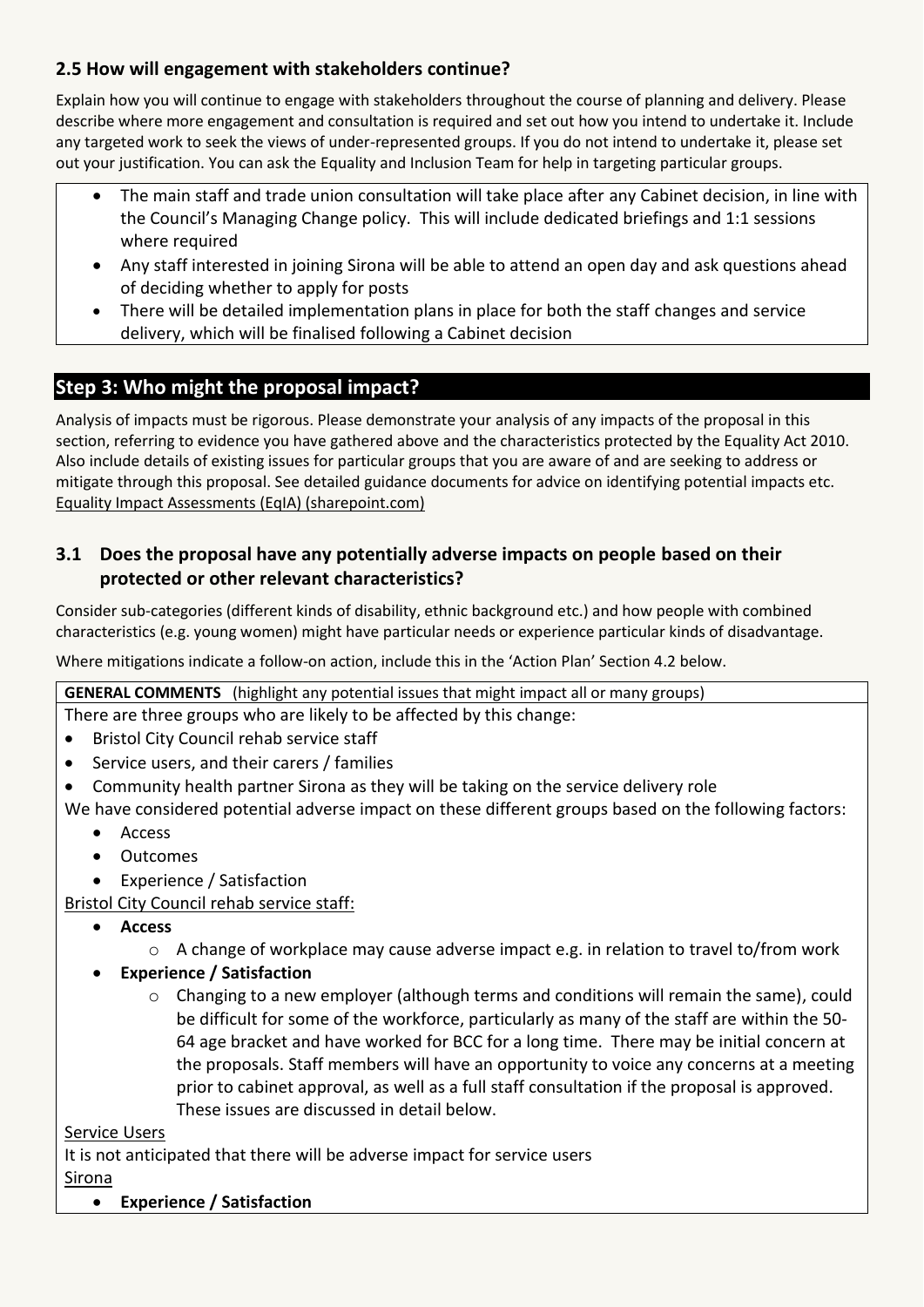## **2.5 How will engagement with stakeholders continue?**

Explain how you will continue to engage with stakeholders throughout the course of planning and delivery. Please describe where more engagement and consultation is required and set out how you intend to undertake it. Include any targeted work to seek the views of under-represented groups. If you do not intend to undertake it, please set out your justification. You can ask the Equality and Inclusion Team for help in targeting particular groups.

- The main staff and trade union consultation will take place after any Cabinet decision, in line with the Council's Managing Change policy. This will include dedicated briefings and 1:1 sessions where required
- Any staff interested in joining Sirona will be able to attend an open day and ask questions ahead of deciding whether to apply for posts
- There will be detailed implementation plans in place for both the staff changes and service delivery, which will be finalised following a Cabinet decision

## **Step 3: Who might the proposal impact?**

Analysis of impacts must be rigorous. Please demonstrate your analysis of any impacts of the proposal in this section, referring to evidence you have gathered above and the characteristics protected by the Equality Act 2010. Also include details of existing issues for particular groups that you are aware of and are seeking to address or mitigate through this proposal. See detailed guidance documents for advice on identifying potential impacts etc. [Equality Impact Assessments \(EqIA\) \(sharepoint.com\)](https://bristolcouncil.sharepoint.com/sites/Corporate/SitePages/equality-impact-assessments.aspx)

## **3.1 Does the proposal have any potentially adverse impacts on people based on their protected or other relevant characteristics?**

Consider sub-categories (different kinds of disability, ethnic background etc.) and how people with combined characteristics (e.g. young women) might have particular needs or experience particular kinds of disadvantage.

Where mitigations indicate a follow-on action, include this in the 'Action Plan' Section 4.2 below.

**GENERAL COMMENTS** (highlight any potential issues that might impact all or many groups)

There are three groups who are likely to be affected by this change:

- Bristol City Council rehab service staff
- Service users, and their carers / families

Community health partner Sirona as they will be taking on the service delivery role

We have considered potential adverse impact on these different groups based on the following factors:

- Access
- Outcomes
- Experience / Satisfaction

Bristol City Council rehab service staff:

- **Access**
	- $\circ$  A change of workplace may cause adverse impact e.g. in relation to travel to/from work
- **Experience / Satisfaction**
	- $\circ$  Changing to a new employer (although terms and conditions will remain the same), could be difficult for some of the workforce, particularly as many of the staff are within the 50- 64 age bracket and have worked for BCC for a long time. There may be initial concern at the proposals. Staff members will have an opportunity to voice any concerns at a meeting prior to cabinet approval, as well as a full staff consultation if the proposal is approved. These issues are discussed in detail below.

Service Users

It is not anticipated that there will be adverse impact for service users Sirona

**Experience / Satisfaction**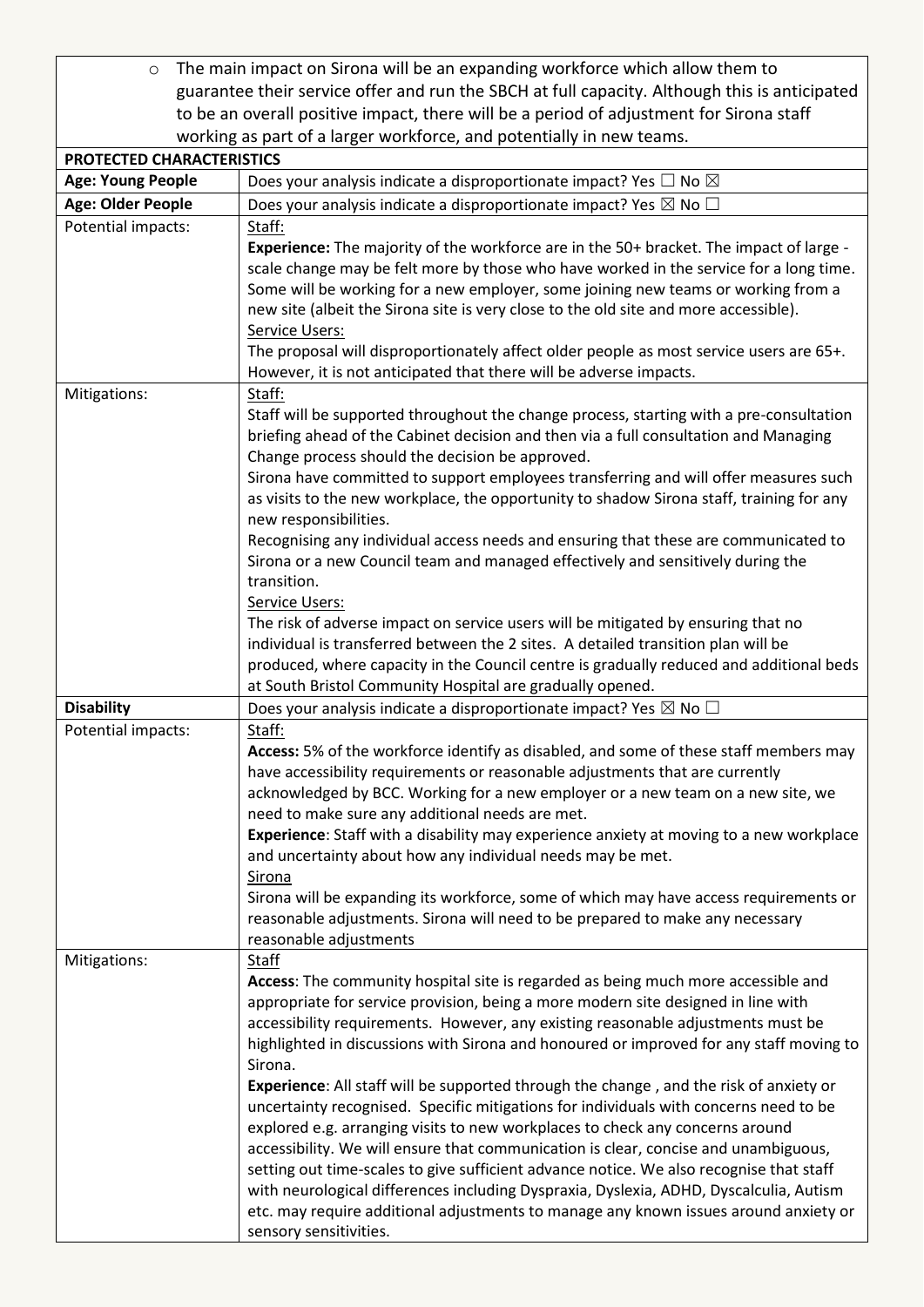o The main impact on Sirona will be an expanding workforce which allow them to guarantee their service offer and run the SBCH at full capacity. Although this is anticipated to be an overall positive impact, there will be a period of adjustment for Sirona staff working as part of a larger workforce, and potentially in new teams.

| PROTECTED CHARACTERISTICS |                                                                                                                                                                                                                                                                                                                                                                                                                                                                                                                                                                                                                                                                                                                                                                                                                                                                                                                                                                                                                                             |
|---------------------------|---------------------------------------------------------------------------------------------------------------------------------------------------------------------------------------------------------------------------------------------------------------------------------------------------------------------------------------------------------------------------------------------------------------------------------------------------------------------------------------------------------------------------------------------------------------------------------------------------------------------------------------------------------------------------------------------------------------------------------------------------------------------------------------------------------------------------------------------------------------------------------------------------------------------------------------------------------------------------------------------------------------------------------------------|
| <b>Age: Young People</b>  | Does your analysis indicate a disproportionate impact? Yes $\Box$ No $\boxtimes$                                                                                                                                                                                                                                                                                                                                                                                                                                                                                                                                                                                                                                                                                                                                                                                                                                                                                                                                                            |
| Age: Older People         | Does your analysis indicate a disproportionate impact? Yes $\boxtimes$ No $\Box$                                                                                                                                                                                                                                                                                                                                                                                                                                                                                                                                                                                                                                                                                                                                                                                                                                                                                                                                                            |
| Potential impacts:        | Staff:                                                                                                                                                                                                                                                                                                                                                                                                                                                                                                                                                                                                                                                                                                                                                                                                                                                                                                                                                                                                                                      |
|                           | Experience: The majority of the workforce are in the 50+ bracket. The impact of large -<br>scale change may be felt more by those who have worked in the service for a long time.<br>Some will be working for a new employer, some joining new teams or working from a<br>new site (albeit the Sirona site is very close to the old site and more accessible).<br>Service Users:<br>The proposal will disproportionately affect older people as most service users are 65+.<br>However, it is not anticipated that there will be adverse impacts.                                                                                                                                                                                                                                                                                                                                                                                                                                                                                           |
| Mitigations:              | Staff:                                                                                                                                                                                                                                                                                                                                                                                                                                                                                                                                                                                                                                                                                                                                                                                                                                                                                                                                                                                                                                      |
|                           | Staff will be supported throughout the change process, starting with a pre-consultation<br>briefing ahead of the Cabinet decision and then via a full consultation and Managing<br>Change process should the decision be approved.<br>Sirona have committed to support employees transferring and will offer measures such<br>as visits to the new workplace, the opportunity to shadow Sirona staff, training for any<br>new responsibilities.<br>Recognising any individual access needs and ensuring that these are communicated to<br>Sirona or a new Council team and managed effectively and sensitively during the<br>transition.<br>Service Users:<br>The risk of adverse impact on service users will be mitigated by ensuring that no<br>individual is transferred between the 2 sites. A detailed transition plan will be<br>produced, where capacity in the Council centre is gradually reduced and additional beds<br>at South Bristol Community Hospital are gradually opened.                                                |
| <b>Disability</b>         | Does your analysis indicate a disproportionate impact? Yes $\boxtimes$ No $\Box$                                                                                                                                                                                                                                                                                                                                                                                                                                                                                                                                                                                                                                                                                                                                                                                                                                                                                                                                                            |
| Potential impacts:        | Staff:<br>Access: 5% of the workforce identify as disabled, and some of these staff members may<br>have accessibility requirements or reasonable adjustments that are currently<br>acknowledged by BCC. Working for a new employer or a new team on a new site, we<br>need to make sure any additional needs are met.<br>Experience: Staff with a disability may experience anxiety at moving to a new workplace<br>and uncertainty about how any individual needs may be met.<br><b>Sirona</b><br>Sirona will be expanding its workforce, some of which may have access requirements or<br>reasonable adjustments. Sirona will need to be prepared to make any necessary<br>reasonable adjustments                                                                                                                                                                                                                                                                                                                                         |
| Mitigations:              | Staff<br>Access: The community hospital site is regarded as being much more accessible and<br>appropriate for service provision, being a more modern site designed in line with<br>accessibility requirements. However, any existing reasonable adjustments must be<br>highlighted in discussions with Sirona and honoured or improved for any staff moving to<br>Sirona.<br>Experience: All staff will be supported through the change, and the risk of anxiety or<br>uncertainty recognised. Specific mitigations for individuals with concerns need to be<br>explored e.g. arranging visits to new workplaces to check any concerns around<br>accessibility. We will ensure that communication is clear, concise and unambiguous,<br>setting out time-scales to give sufficient advance notice. We also recognise that staff<br>with neurological differences including Dyspraxia, Dyslexia, ADHD, Dyscalculia, Autism<br>etc. may require additional adjustments to manage any known issues around anxiety or<br>sensory sensitivities. |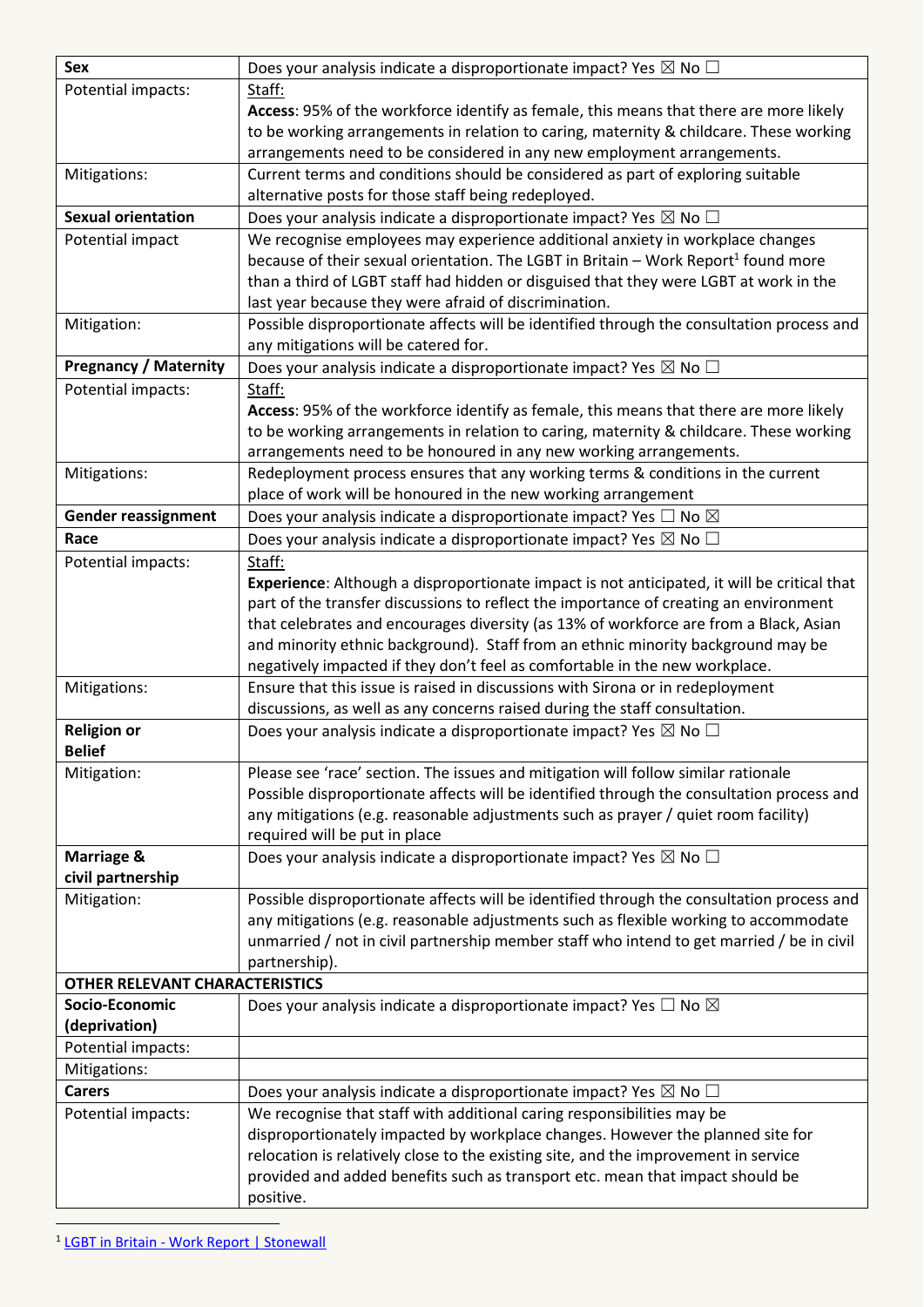| Sex                                   | Does your analysis indicate a disproportionate impact? Yes $\boxtimes$ No $\Box$                                                                                                 |
|---------------------------------------|----------------------------------------------------------------------------------------------------------------------------------------------------------------------------------|
| Potential impacts:                    | Staff:                                                                                                                                                                           |
|                                       | Access: 95% of the workforce identify as female, this means that there are more likely                                                                                           |
|                                       | to be working arrangements in relation to caring, maternity & childcare. These working                                                                                           |
|                                       | arrangements need to be considered in any new employment arrangements.                                                                                                           |
| Mitigations:                          | Current terms and conditions should be considered as part of exploring suitable                                                                                                  |
|                                       | alternative posts for those staff being redeployed.                                                                                                                              |
| <b>Sexual orientation</b>             | Does your analysis indicate a disproportionate impact? Yes $\boxtimes$ No $\Box$                                                                                                 |
| Potential impact                      | We recognise employees may experience additional anxiety in workplace changes                                                                                                    |
|                                       | because of their sexual orientation. The LGBT in Britain - Work Report <sup>1</sup> found more                                                                                   |
|                                       | than a third of LGBT staff had hidden or disguised that they were LGBT at work in the                                                                                            |
|                                       | last year because they were afraid of discrimination.                                                                                                                            |
| Mitigation:                           | Possible disproportionate affects will be identified through the consultation process and                                                                                        |
| <b>Pregnancy / Maternity</b>          | any mitigations will be catered for.                                                                                                                                             |
|                                       | Does your analysis indicate a disproportionate impact? Yes $\boxtimes$ No $\Box$                                                                                                 |
| Potential impacts:                    | Staff:                                                                                                                                                                           |
|                                       | Access: 95% of the workforce identify as female, this means that there are more likely<br>to be working arrangements in relation to caring, maternity & childcare. These working |
|                                       | arrangements need to be honoured in any new working arrangements.                                                                                                                |
| Mitigations:                          | Redeployment process ensures that any working terms & conditions in the current                                                                                                  |
|                                       | place of work will be honoured in the new working arrangement                                                                                                                    |
| <b>Gender reassignment</b>            | Does your analysis indicate a disproportionate impact? Yes $\Box$ No $\boxtimes$                                                                                                 |
| Race                                  | Does your analysis indicate a disproportionate impact? Yes $\boxtimes$ No $\Box$                                                                                                 |
| Potential impacts:                    | Staff:                                                                                                                                                                           |
|                                       | Experience: Although a disproportionate impact is not anticipated, it will be critical that                                                                                      |
|                                       | part of the transfer discussions to reflect the importance of creating an environment                                                                                            |
|                                       | that celebrates and encourages diversity (as 13% of workforce are from a Black, Asian                                                                                            |
|                                       | and minority ethnic background). Staff from an ethnic minority background may be                                                                                                 |
|                                       | negatively impacted if they don't feel as comfortable in the new workplace.                                                                                                      |
| Mitigations:                          | Ensure that this issue is raised in discussions with Sirona or in redeployment                                                                                                   |
|                                       | discussions, as well as any concerns raised during the staff consultation.                                                                                                       |
| <b>Religion or</b>                    | Does your analysis indicate a disproportionate impact? Yes $\boxtimes$ No $\Box$                                                                                                 |
| <b>Belief</b>                         |                                                                                                                                                                                  |
| Mitigation:                           | Please see 'race' section. The issues and mitigation will follow similar rationale                                                                                               |
|                                       | Possible disproportionate affects will be identified through the consultation process and                                                                                        |
|                                       | any mitigations (e.g. reasonable adjustments such as prayer / quiet room facility)                                                                                               |
|                                       | required will be put in place                                                                                                                                                    |
| Marriage &<br>civil partnership       | Does your analysis indicate a disproportionate impact? Yes $\boxtimes$ No $\Box$                                                                                                 |
| Mitigation:                           | Possible disproportionate affects will be identified through the consultation process and                                                                                        |
|                                       | any mitigations (e.g. reasonable adjustments such as flexible working to accommodate                                                                                             |
|                                       | unmarried / not in civil partnership member staff who intend to get married / be in civil                                                                                        |
|                                       | partnership).                                                                                                                                                                    |
| <b>OTHER RELEVANT CHARACTERISTICS</b> |                                                                                                                                                                                  |
| Socio-Economic                        | Does your analysis indicate a disproportionate impact? Yes $\Box$ No $\boxtimes$                                                                                                 |
| (deprivation)                         |                                                                                                                                                                                  |
| Potential impacts:                    |                                                                                                                                                                                  |
| Mitigations:                          |                                                                                                                                                                                  |
| <b>Carers</b>                         | Does your analysis indicate a disproportionate impact? Yes $\boxtimes$ No $\Box$                                                                                                 |
| Potential impacts:                    | We recognise that staff with additional caring responsibilities may be                                                                                                           |
|                                       | disproportionately impacted by workplace changes. However the planned site for                                                                                                   |
|                                       | relocation is relatively close to the existing site, and the improvement in service                                                                                              |
|                                       | provided and added benefits such as transport etc. mean that impact should be                                                                                                    |
|                                       | positive.                                                                                                                                                                        |
|                                       |                                                                                                                                                                                  |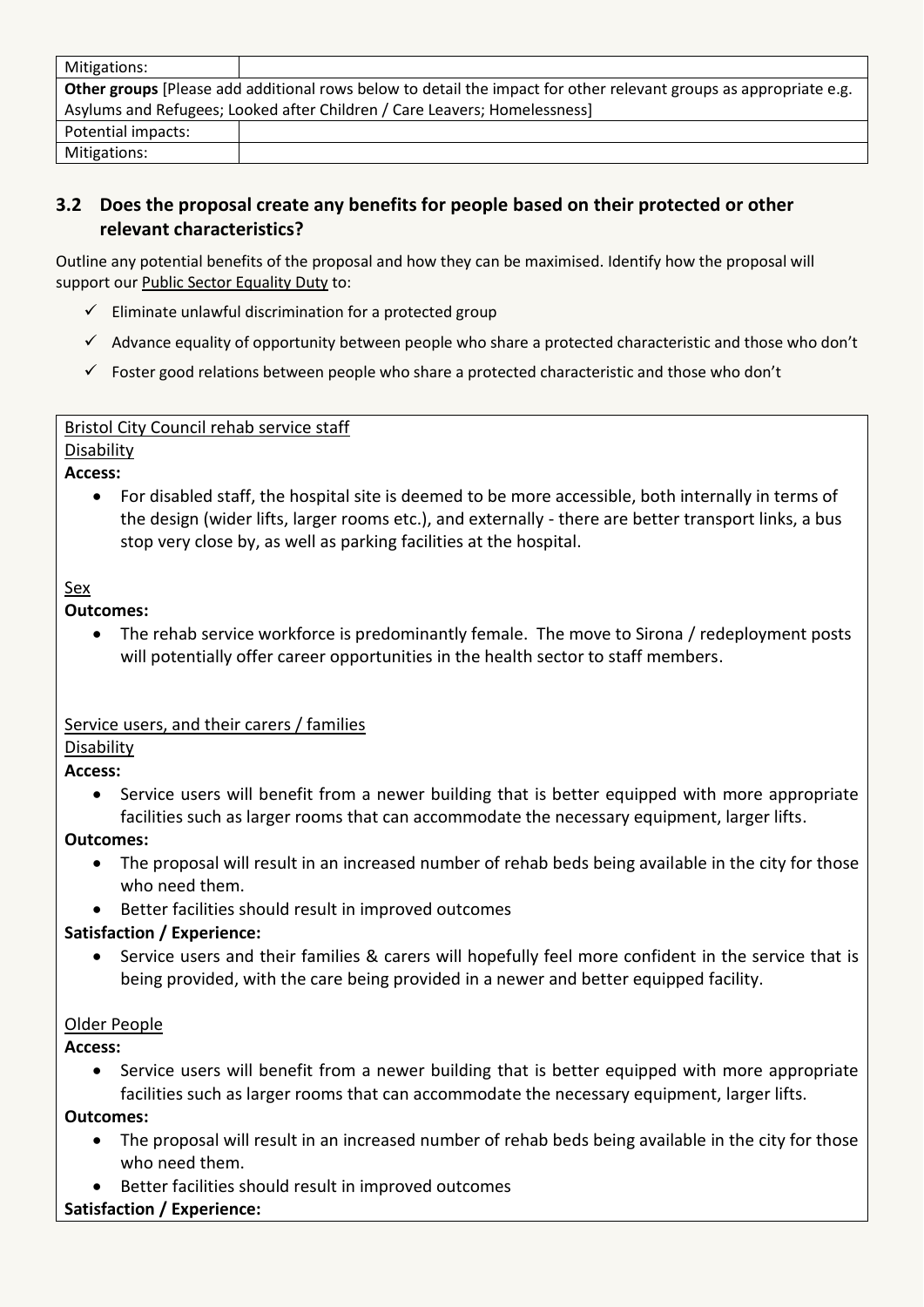| Mitigations:       |                                                                                                                   |
|--------------------|-------------------------------------------------------------------------------------------------------------------|
|                    | Other groups [Please add additional rows below to detail the impact for other relevant groups as appropriate e.g. |
|                    | Asylums and Refugees; Looked after Children / Care Leavers; Homelessness]                                         |
| Potential impacts: |                                                                                                                   |
| Mitigations:       |                                                                                                                   |

## **3.2 Does the proposal create any benefits for people based on their protected or other relevant characteristics?**

Outline any potential benefits of the proposal and how they can be maximised. Identify how the proposal will support our [Public Sector Equality Duty](https://www.equalityhumanrights.com/en/advice-and-guidance/public-sector-equality-duty) to:

- $\checkmark$  Eliminate unlawful discrimination for a protected group
- $\checkmark$  Advance equality of opportunity between people who share a protected characteristic and those who don't
- $\checkmark$  Foster good relations between people who share a protected characteristic and those who don't

#### Bristol City Council rehab service staff

# Disability

## **Access:**

 For disabled staff, the hospital site is deemed to be more accessible, both internally in terms of the design (wider lifts, larger rooms etc.), and externally - there are better transport links, a bus stop very close by, as well as parking facilities at the hospital.

## Sex

## **Outcomes:**

 The rehab service workforce is predominantly female. The move to Sirona / redeployment posts will potentially offer career opportunities in the health sector to staff members.

#### Service users, and their carers / families

#### Disability

#### **Access:**

 Service users will benefit from a newer building that is better equipped with more appropriate facilities such as larger rooms that can accommodate the necessary equipment, larger lifts.

#### **Outcomes:**

- The proposal will result in an increased number of rehab beds being available in the city for those who need them.
- Better facilities should result in improved outcomes

## **Satisfaction / Experience:**

 Service users and their families & carers will hopefully feel more confident in the service that is being provided, with the care being provided in a newer and better equipped facility.

#### Older People

## **Access:**

• Service users will benefit from a newer building that is better equipped with more appropriate facilities such as larger rooms that can accommodate the necessary equipment, larger lifts.

## **Outcomes:**

- The proposal will result in an increased number of rehab beds being available in the city for those who need them.
- Better facilities should result in improved outcomes

## **Satisfaction / Experience:**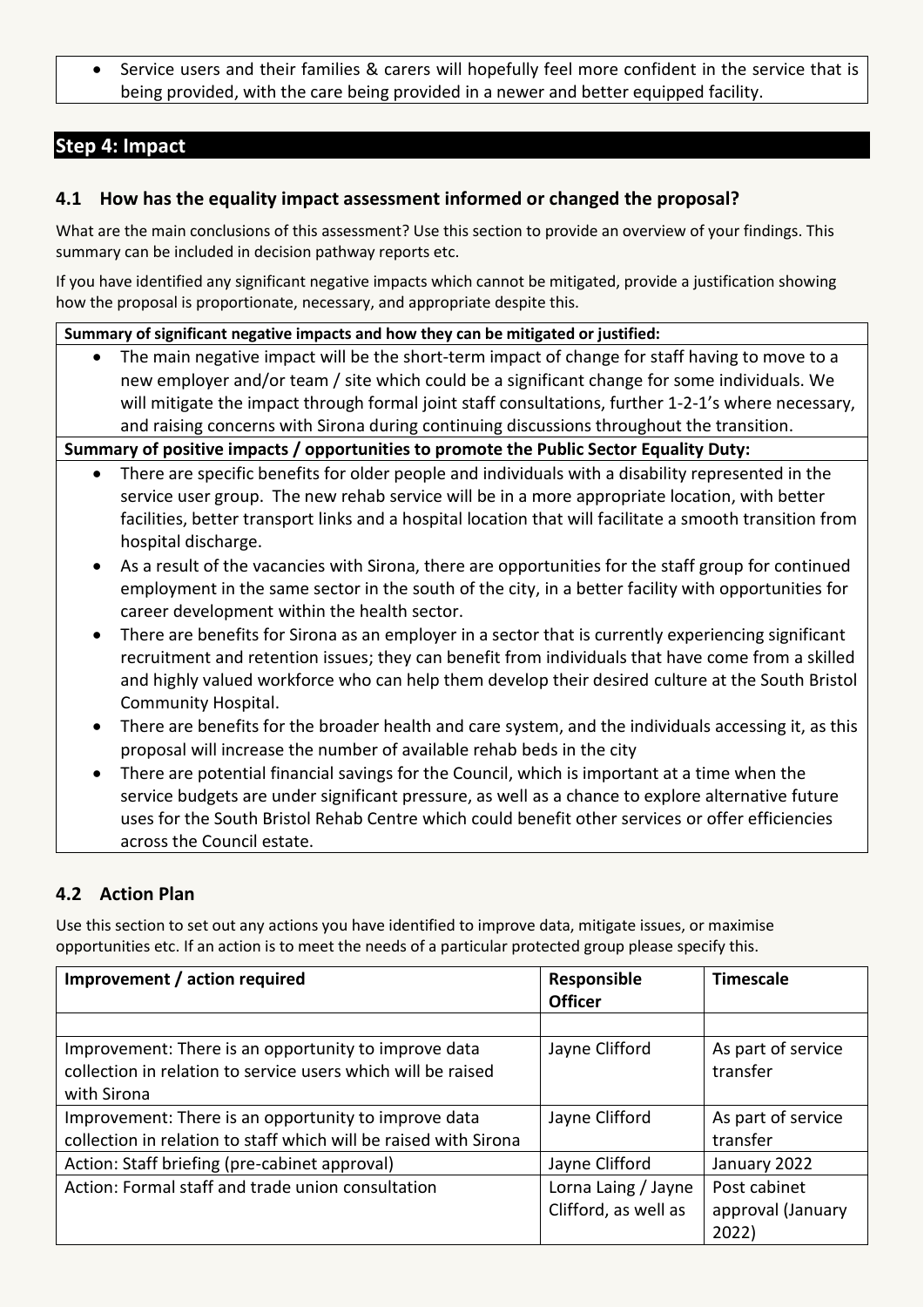Service users and their families & carers will hopefully feel more confident in the service that is being provided, with the care being provided in a newer and better equipped facility.

## **Step 4: Impact**

## **4.1 How has the equality impact assessment informed or changed the proposal?**

What are the main conclusions of this assessment? Use this section to provide an overview of your findings. This summary can be included in decision pathway reports etc.

If you have identified any significant negative impacts which cannot be mitigated, provide a justification showing how the proposal is proportionate, necessary, and appropriate despite this.

#### **Summary of significant negative impacts and how they can be mitigated or justified:**

 The main negative impact will be the short-term impact of change for staff having to move to a new employer and/or team / site which could be a significant change for some individuals. We will mitigate the impact through formal joint staff consultations, further 1-2-1's where necessary, and raising concerns with Sirona during continuing discussions throughout the transition.

**Summary of positive impacts / opportunities to promote the Public Sector Equality Duty:**

- There are specific benefits for older people and individuals with a disability represented in the service user group. The new rehab service will be in a more appropriate location, with better facilities, better transport links and a hospital location that will facilitate a smooth transition from hospital discharge.
- As a result of the vacancies with Sirona, there are opportunities for the staff group for continued employment in the same sector in the south of the city, in a better facility with opportunities for career development within the health sector.
- There are benefits for Sirona as an employer in a sector that is currently experiencing significant recruitment and retention issues; they can benefit from individuals that have come from a skilled and highly valued workforce who can help them develop their desired culture at the South Bristol Community Hospital.
- There are benefits for the broader health and care system, and the individuals accessing it, as this proposal will increase the number of available rehab beds in the city
- There are potential financial savings for the Council, which is important at a time when the service budgets are under significant pressure, as well as a chance to explore alternative future uses for the South Bristol Rehab Centre which could benefit other services or offer efficiencies across the Council estate.

## **4.2 Action Plan**

Use this section to set out any actions you have identified to improve data, mitigate issues, or maximise opportunities etc. If an action is to meet the needs of a particular protected group please specify this.

| Improvement / action required                                    | Responsible          | <b>Timescale</b>   |
|------------------------------------------------------------------|----------------------|--------------------|
|                                                                  | <b>Officer</b>       |                    |
|                                                                  |                      |                    |
| Improvement: There is an opportunity to improve data             | Jayne Clifford       | As part of service |
| collection in relation to service users which will be raised     |                      | transfer           |
| with Sirona                                                      |                      |                    |
| Improvement: There is an opportunity to improve data             | Jayne Clifford       | As part of service |
| collection in relation to staff which will be raised with Sirona |                      | transfer           |
| Action: Staff briefing (pre-cabinet approval)                    | Jayne Clifford       | January 2022       |
| Action: Formal staff and trade union consultation                | Lorna Laing / Jayne  | Post cabinet       |
|                                                                  | Clifford, as well as | approval (January  |
|                                                                  |                      | 2022)              |